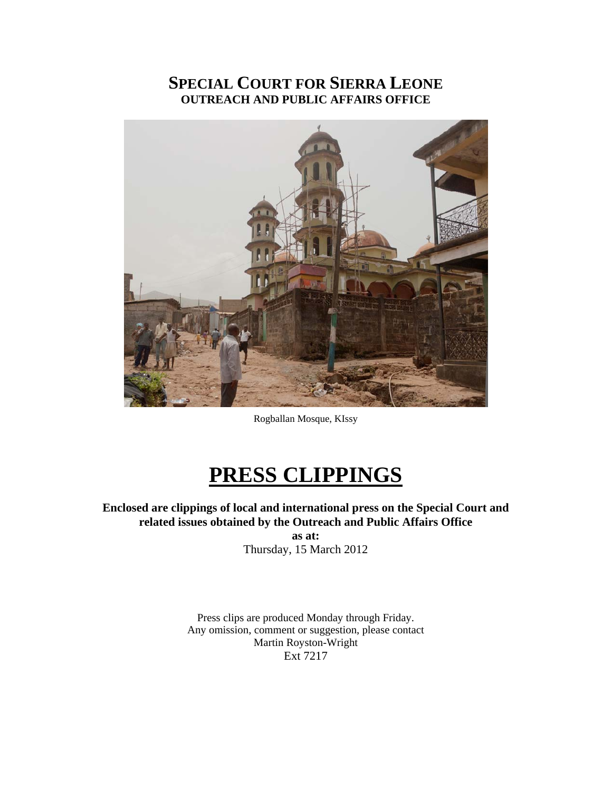# **SPECIAL COURT FOR SIERRA LEONE OUTREACH AND PUBLIC AFFAIRS OFFICE**



Rogballan Mosque, KIssy

# **PRESS CLIPPINGS**

**Enclosed are clippings of local and international press on the Special Court and related issues obtained by the Outreach and Public Affairs Office as at:** 

Thursday, 15 March 2012

Press clips are produced Monday through Friday. Any omission, comment or suggestion, please contact Martin Royston-Wright Ext 7217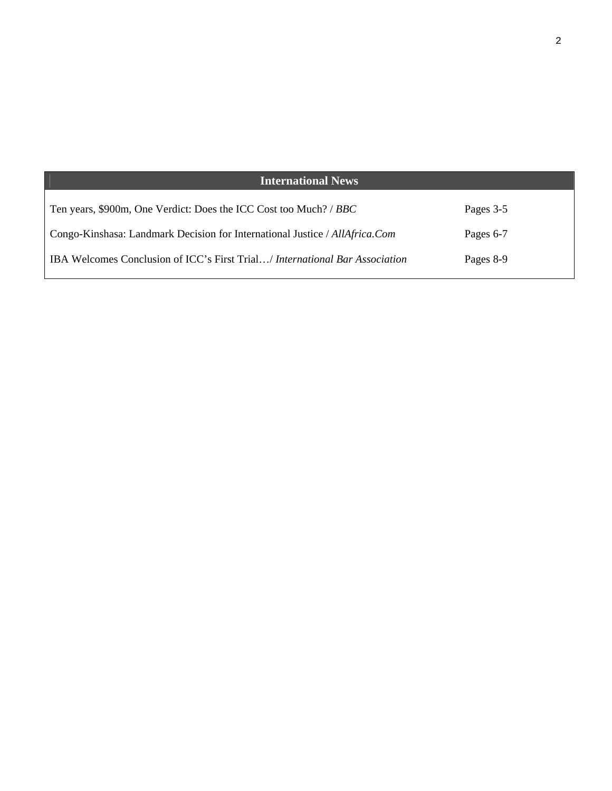| <b>International News</b>                                                          |           |
|------------------------------------------------------------------------------------|-----------|
| Ten years, \$900m, One Verdict: Does the ICC Cost too Much? / BBC                  | Pages 3-5 |
| Congo-Kinshasa: Landmark Decision for International Justice / AllAfrica.Com        | Pages 6-7 |
| <b>IBA Welcomes Conclusion of ICC's First Trial/</b> International Bar Association | Pages 8-9 |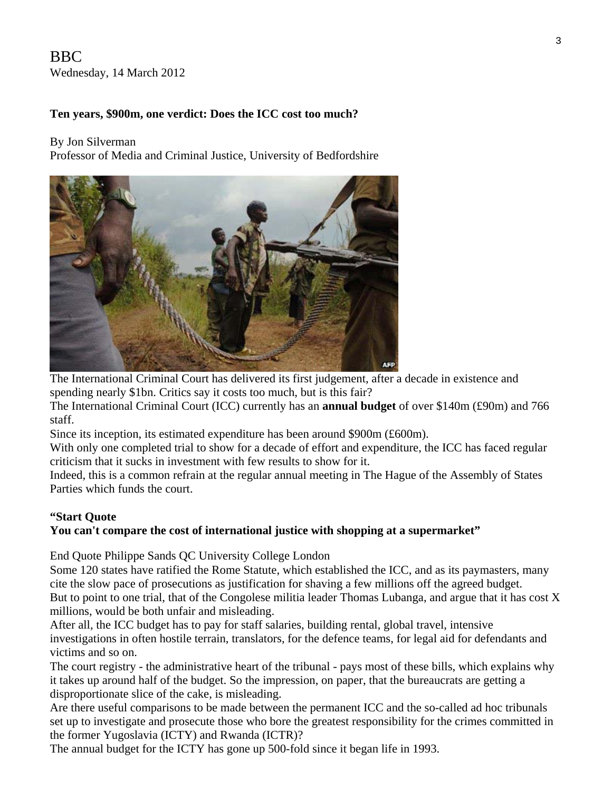## BBC Wednesday, 14 March 2012

#### **Ten years, \$900m, one verdict: Does the ICC cost too much?**

By Jon Silverman

Professor of Media and Criminal Justice, University of Bedfordshire



The International Criminal Court has delivered its first judgement, after a decade in existence and spending nearly \$1bn. Critics say it costs too much, but is this fair?

The International Criminal Court (ICC) currently has an **annual budget** of over \$140m (£90m) and 766 staff.

Since its inception, its estimated expenditure has been around \$900m (£600m).

With only one completed trial to show for a decade of effort and expenditure, the ICC has faced regular criticism that it sucks in investment with few results to show for it.

Indeed, this is a common refrain at the regular annual meeting in The Hague of the Assembly of States Parties which funds the court.

## **"Start Quote**

## **You can't compare the cost of international justice with shopping at a supermarket"**

End Quote Philippe Sands QC University College London

Some 120 states have ratified the Rome Statute, which established the ICC, and as its paymasters, many cite the slow pace of prosecutions as justification for shaving a few millions off the agreed budget. But to point to one trial, that of the Congolese militia leader Thomas Lubanga, and argue that it has cost X millions, would be both unfair and misleading.

After all, the ICC budget has to pay for staff salaries, building rental, global travel, intensive investigations in often hostile terrain, translators, for the defence teams, for legal aid for defendants and victims and so on.

The court registry - the administrative heart of the tribunal - pays most of these bills, which explains why it takes up around half of the budget. So the impression, on paper, that the bureaucrats are getting a disproportionate slice of the cake, is misleading.

Are there useful comparisons to be made between the permanent ICC and the so-called ad hoc tribunals set up to investigate and prosecute those who bore the greatest responsibility for the crimes committed in the former Yugoslavia (ICTY) and Rwanda (ICTR)?

The annual budget for the ICTY has gone up 500-fold since it began life in 1993.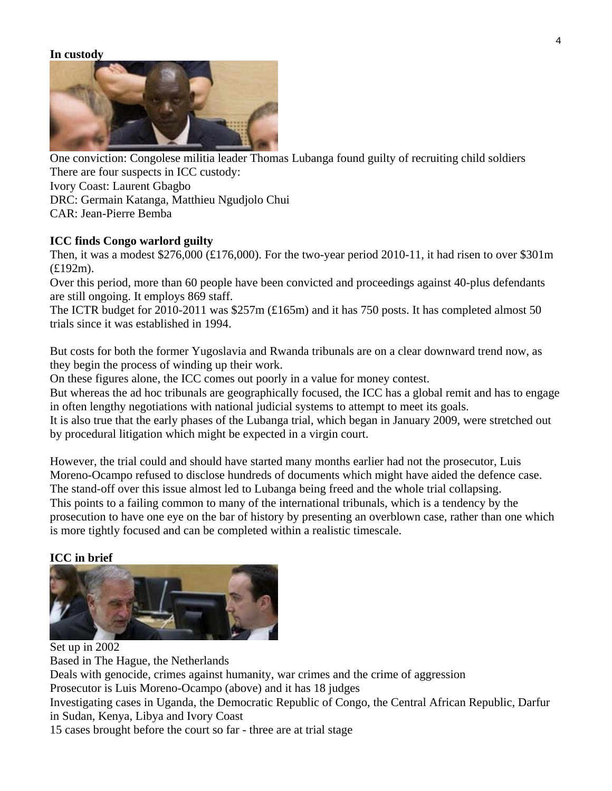#### **In custody**



One conviction: Congolese militia leader Thomas Lubanga found guilty of recruiting child soldiers There are four suspects in ICC custody:

Ivory Coast: Laurent Gbagbo

DRC: Germain Katanga, Matthieu Ngudjolo Chui

CAR: Jean-Pierre Bemba

#### **ICC finds Congo warlord guilty**

Then, it was a modest \$276,000 (£176,000). For the two-year period 2010-11, it had risen to over \$301m (£192m).

Over this period, more than 60 people have been convicted and proceedings against 40-plus defendants are still ongoing. It employs 869 staff.

The ICTR budget for 2010-2011 was \$257m (£165m) and it has 750 posts. It has completed almost 50 trials since it was established in 1994.

But costs for both the former Yugoslavia and Rwanda tribunals are on a clear downward trend now, as they begin the process of winding up their work.

On these figures alone, the ICC comes out poorly in a value for money contest.

But whereas the ad hoc tribunals are geographically focused, the ICC has a global remit and has to engage in often lengthy negotiations with national judicial systems to attempt to meet its goals.

It is also true that the early phases of the Lubanga trial, which began in January 2009, were stretched out by procedural litigation which might be expected in a virgin court.

However, the trial could and should have started many months earlier had not the prosecutor, Luis Moreno-Ocampo refused to disclose hundreds of documents which might have aided the defence case. The stand-off over this issue almost led to Lubanga being freed and the whole trial collapsing. This points to a failing common to many of the international tribunals, which is a tendency by the prosecution to have one eye on the bar of history by presenting an overblown case, rather than one which is more tightly focused and can be completed within a realistic timescale.

#### **ICC in brief**



Set up in 2002 Based in The Hague, the Netherlands Deals with genocide, crimes against humanity, war crimes and the crime of aggression Prosecutor is Luis Moreno-Ocampo (above) and it has 18 judges Investigating cases in Uganda, the Democratic Republic of Congo, the Central African Republic, Darfur in Sudan, Kenya, Libya and Ivory Coast 15 cases brought before the court so far - three are at trial stage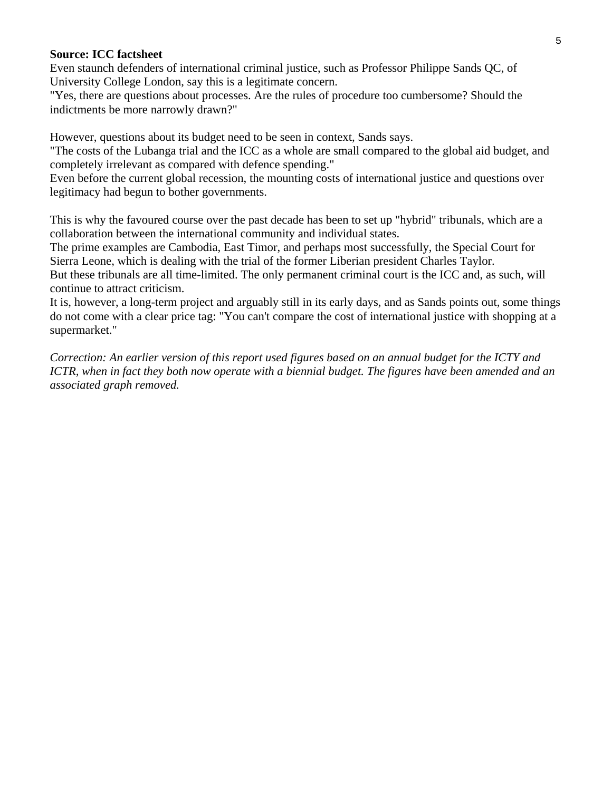#### **Source: ICC factsheet**

Even staunch defenders of international criminal justice, such as Professor Philippe Sands QC, of University College London, say this is a legitimate concern.

"Yes, there are questions about processes. Are the rules of procedure too cumbersome? Should the indictments be more narrowly drawn?"

However, questions about its budget need to be seen in context, Sands says.

"The costs of the Lubanga trial and the ICC as a whole are small compared to the global aid budget, and completely irrelevant as compared with defence spending."

Even before the current global recession, the mounting costs of international justice and questions over legitimacy had begun to bother governments.

This is why the favoured course over the past decade has been to set up "hybrid" tribunals, which are a collaboration between the international community and individual states.

The prime examples are Cambodia, East Timor, and perhaps most successfully, the Special Court for Sierra Leone, which is dealing with the trial of the former Liberian president Charles Taylor. But these tribunals are all time-limited. The only permanent criminal court is the ICC and, as such, will continue to attract criticism.

It is, however, a long-term project and arguably still in its early days, and as Sands points out, some things do not come with a clear price tag: "You can't compare the cost of international justice with shopping at a supermarket."

*Correction: An earlier version of this report used figures based on an annual budget for the ICTY and ICTR, when in fact they both now operate with a biennial budget. The figures have been amended and an associated graph removed.*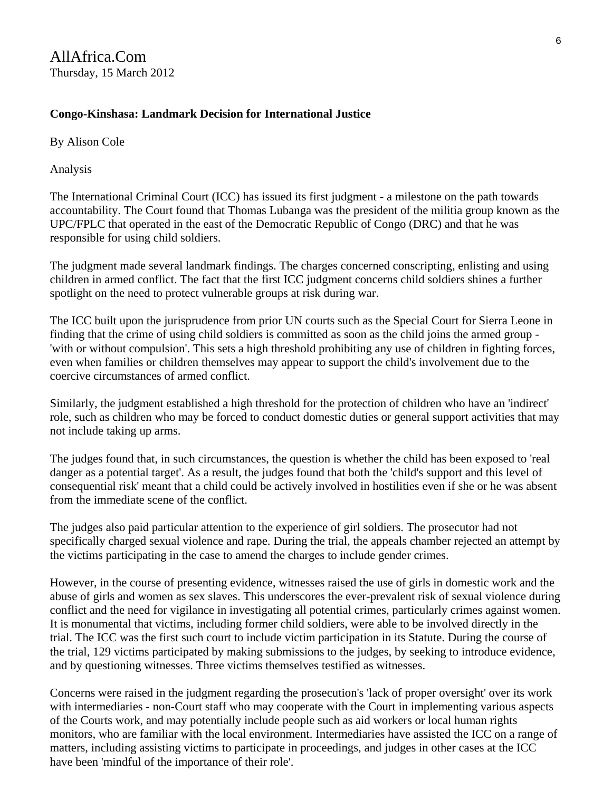AllAfrica.Com Thursday, 15 March 2012

## **Congo-Kinshasa: Landmark Decision for International Justice**

By Alison Cole

Analysis

The International Criminal Court (ICC) has issued its first judgment - a milestone on the path towards accountability. The Court found that Thomas Lubanga was the president of the militia group known as the UPC/FPLC that operated in the east of the Democratic Republic of Congo (DRC) and that he was responsible for using child soldiers.

The judgment made several landmark findings. The charges concerned conscripting, enlisting and using children in armed conflict. The fact that the first ICC judgment concerns child soldiers shines a further spotlight on the need to protect vulnerable groups at risk during war.

The ICC built upon the jurisprudence from prior UN courts such as the Special Court for Sierra Leone in finding that the crime of using child soldiers is committed as soon as the child joins the armed group - 'with or without compulsion'. This sets a high threshold prohibiting any use of children in fighting forces, even when families or children themselves may appear to support the child's involvement due to the coercive circumstances of armed conflict.

Similarly, the judgment established a high threshold for the protection of children who have an 'indirect' role, such as children who may be forced to conduct domestic duties or general support activities that may not include taking up arms.

The judges found that, in such circumstances, the question is whether the child has been exposed to 'real danger as a potential target'. As a result, the judges found that both the 'child's support and this level of consequential risk' meant that a child could be actively involved in hostilities even if she or he was absent from the immediate scene of the conflict.

The judges also paid particular attention to the experience of girl soldiers. The prosecutor had not specifically charged sexual violence and rape. During the trial, the appeals chamber rejected an attempt by the victims participating in the case to amend the charges to include gender crimes.

However, in the course of presenting evidence, witnesses raised the use of girls in domestic work and the abuse of girls and women as sex slaves. This underscores the ever-prevalent risk of sexual violence during conflict and the need for vigilance in investigating all potential crimes, particularly crimes against women. It is monumental that victims, including former child soldiers, were able to be involved directly in the trial. The ICC was the first such court to include victim participation in its Statute. During the course of the trial, 129 victims participated by making submissions to the judges, by seeking to introduce evidence, and by questioning witnesses. Three victims themselves testified as witnesses.

Concerns were raised in the judgment regarding the prosecution's 'lack of proper oversight' over its work with intermediaries - non-Court staff who may cooperate with the Court in implementing various aspects of the Courts work, and may potentially include people such as aid workers or local human rights monitors, who are familiar with the local environment. Intermediaries have assisted the ICC on a range of matters, including assisting victims to participate in proceedings, and judges in other cases at the ICC have been 'mindful of the importance of their role'.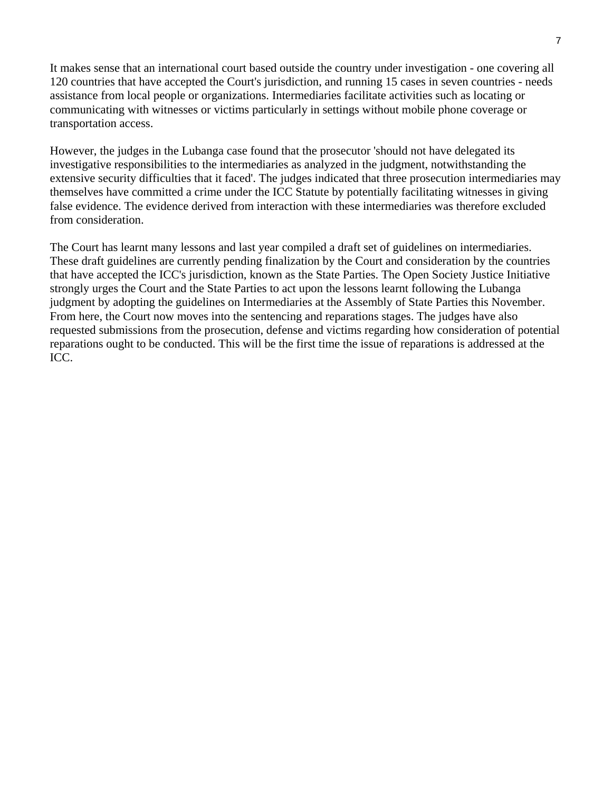It makes sense that an international court based outside the country under investigation - one covering all 120 countries that have accepted the Court's jurisdiction, and running 15 cases in seven countries - needs assistance from local people or organizations. Intermediaries facilitate activities such as locating or communicating with witnesses or victims particularly in settings without mobile phone coverage or transportation access.

However, the judges in the Lubanga case found that the prosecutor 'should not have delegated its investigative responsibilities to the intermediaries as analyzed in the judgment, notwithstanding the extensive security difficulties that it faced'. The judges indicated that three prosecution intermediaries may themselves have committed a crime under the ICC Statute by potentially facilitating witnesses in giving false evidence. The evidence derived from interaction with these intermediaries was therefore excluded from consideration.

The Court has learnt many lessons and last year compiled a draft set of guidelines on intermediaries. These draft guidelines are currently pending finalization by the Court and consideration by the countries that have accepted the ICC's jurisdiction, known as the State Parties. The Open Society Justice Initiative strongly urges the Court and the State Parties to act upon the lessons learnt following the Lubanga judgment by adopting the guidelines on Intermediaries at the Assembly of State Parties this November. From here, the Court now moves into the sentencing and reparations stages. The judges have also requested submissions from the prosecution, defense and victims regarding how consideration of potential reparations ought to be conducted. This will be the first time the issue of reparations is addressed at the ICC.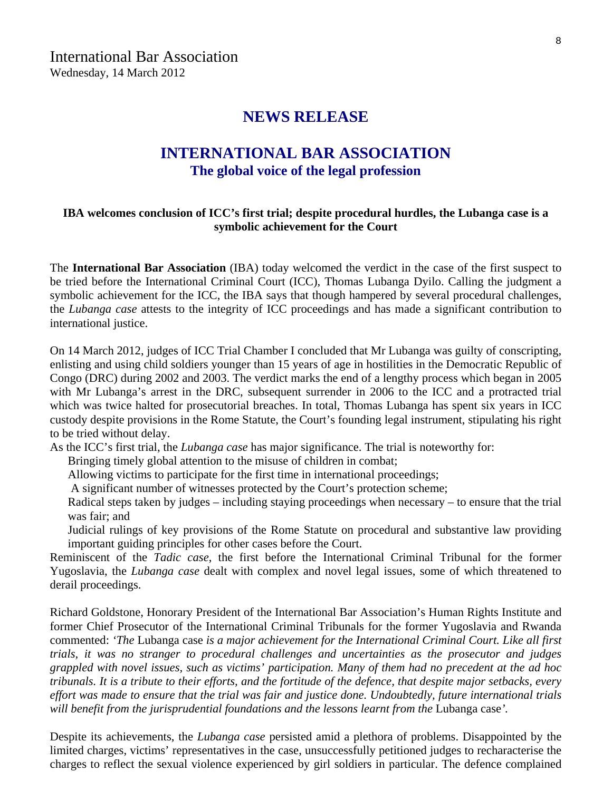## **NEWS RELEASE**

## **INTERNATIONAL BAR ASSOCIATION The global voice of the legal profession**

#### **IBA welcomes conclusion of ICC's first trial; despite procedural hurdles, the Lubanga case is a symbolic achievement for the Court**

The **International Bar Association** (IBA) today welcomed the verdict in the case of the first suspect to be tried before the International Criminal Court (ICC), Thomas Lubanga Dyilo. Calling the judgment a symbolic achievement for the ICC, the IBA says that though hampered by several procedural challenges, the *Lubanga case* attests to the integrity of ICC proceedings and has made a significant contribution to international justice.

On 14 March 2012, judges of ICC Trial Chamber I concluded that Mr Lubanga was guilty of conscripting, enlisting and using child soldiers younger than 15 years of age in hostilities in the Democratic Republic of Congo (DRC) during 2002 and 2003. The verdict marks the end of a lengthy process which began in 2005 with Mr Lubanga's arrest in the DRC, subsequent surrender in 2006 to the ICC and a protracted trial which was twice halted for prosecutorial breaches. In total, Thomas Lubanga has spent six years in ICC custody despite provisions in the Rome Statute, the Court's founding legal instrument, stipulating his right to be tried without delay.

As the ICC's first trial, the *Lubanga case* has major significance. The trial is noteworthy for:

Bringing timely global attention to the misuse of children in combat;

Allowing victims to participate for the first time in international proceedings;

A significant number of witnesses protected by the Court's protection scheme;

Radical steps taken by judges – including staying proceedings when necessary – to ensure that the trial was fair; and

Judicial rulings of key provisions of the Rome Statute on procedural and substantive law providing important guiding principles for other cases before the Court.

Reminiscent of the *Tadic case*, the first before the International Criminal Tribunal for the former Yugoslavia, the *Lubanga case* dealt with complex and novel legal issues, some of which threatened to derail proceedings.

Richard Goldstone, Honorary President of the International Bar Association's Human Rights Institute and former Chief Prosecutor of the International Criminal Tribunals for the former Yugoslavia and Rwanda commented: *'The* Lubanga case *is a major achievement for the International Criminal Court. Like all first trials, it was no stranger to procedural challenges and uncertainties as the prosecutor and judges grappled with novel issues, such as victims' participation. Many of them had no precedent at the ad hoc tribunals. It is a tribute to their efforts, and the fortitude of the defence, that despite major setbacks, every effort was made to ensure that the trial was fair and justice done. Undoubtedly, future international trials*  will benefit from the jurisprudential foundations and the lessons learnt from the Lubanga case'.

Despite its achievements, the *Lubanga case* persisted amid a plethora of problems. Disappointed by the limited charges, victims' representatives in the case, unsuccessfully petitioned judges to recharacterise the charges to reflect the sexual violence experienced by girl soldiers in particular. The defence complained